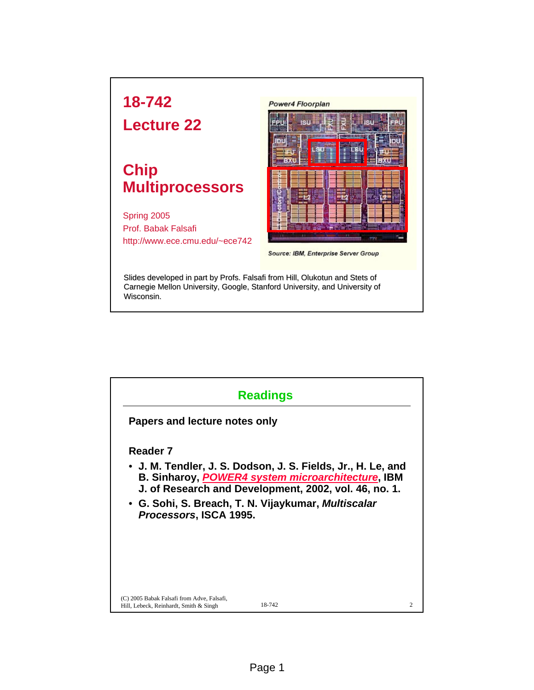

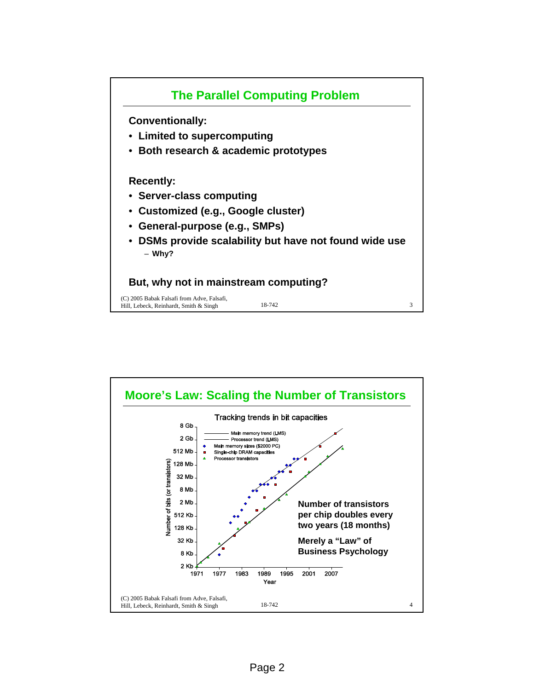

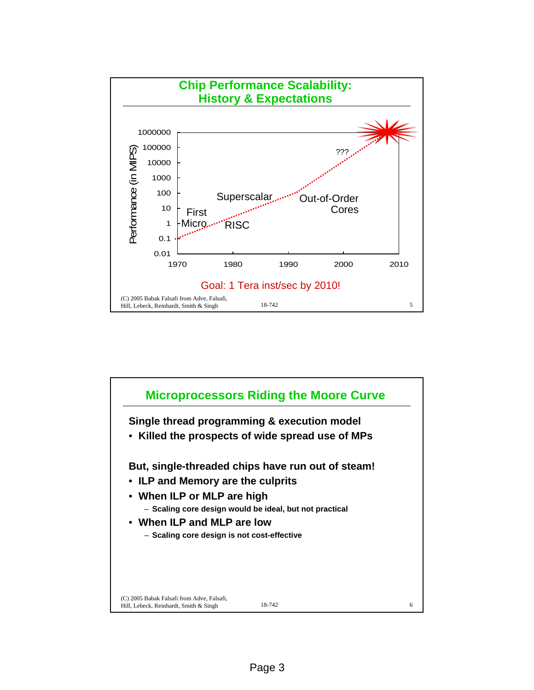

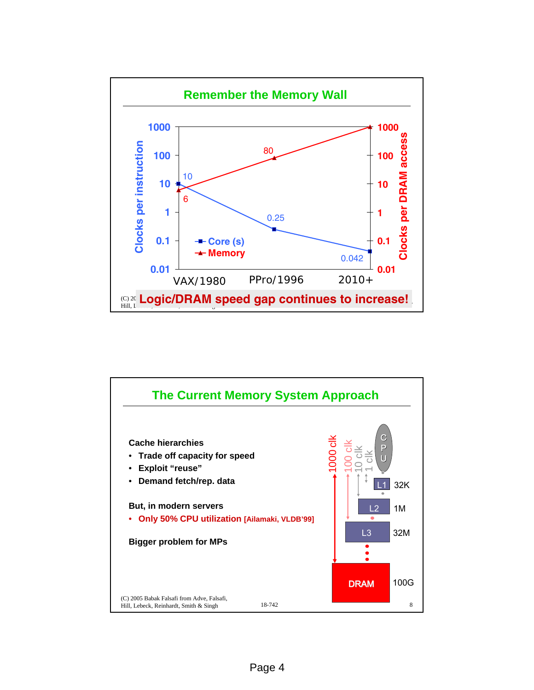

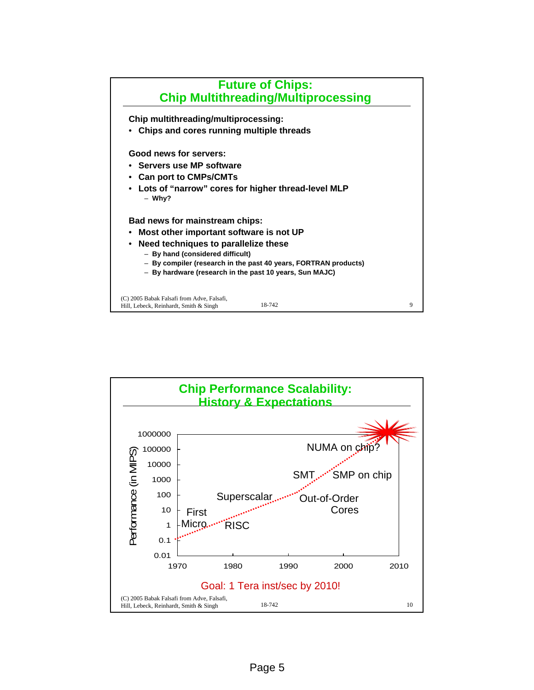

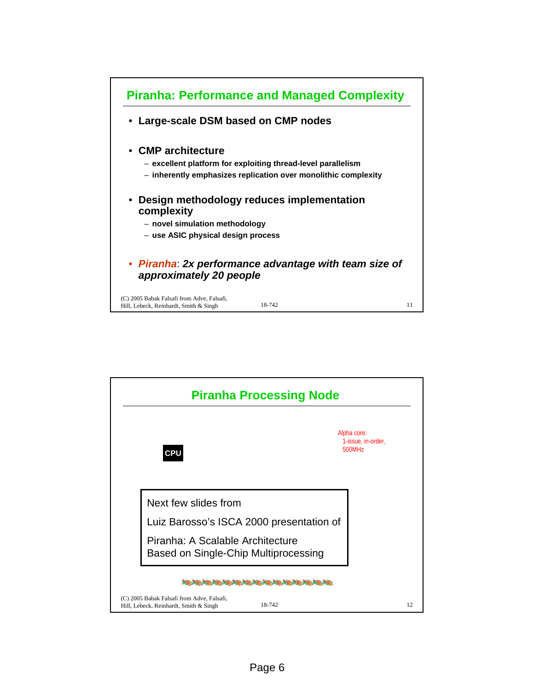

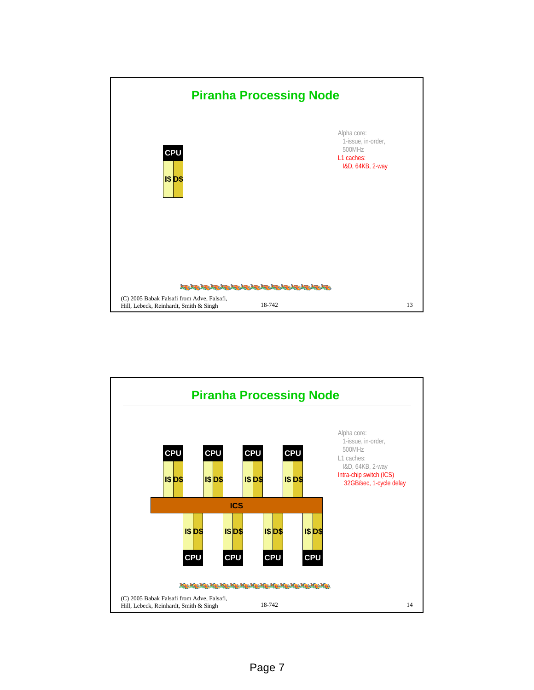

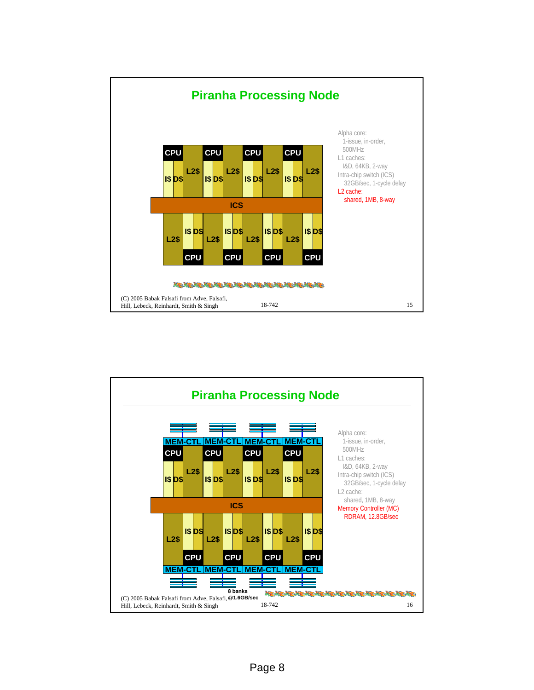

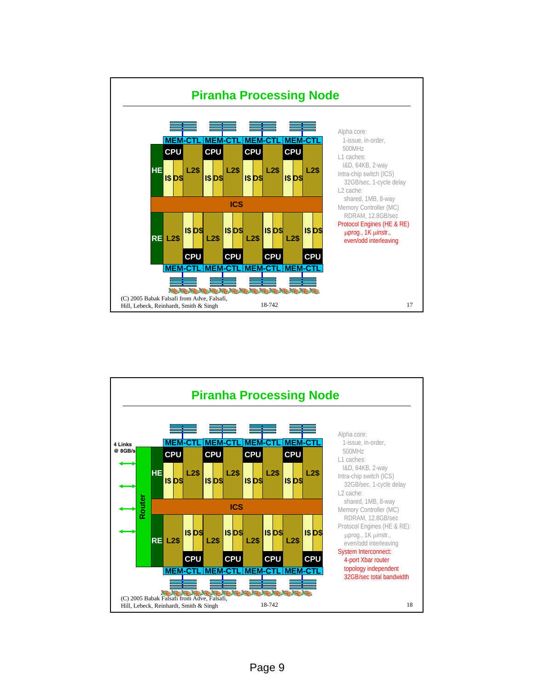

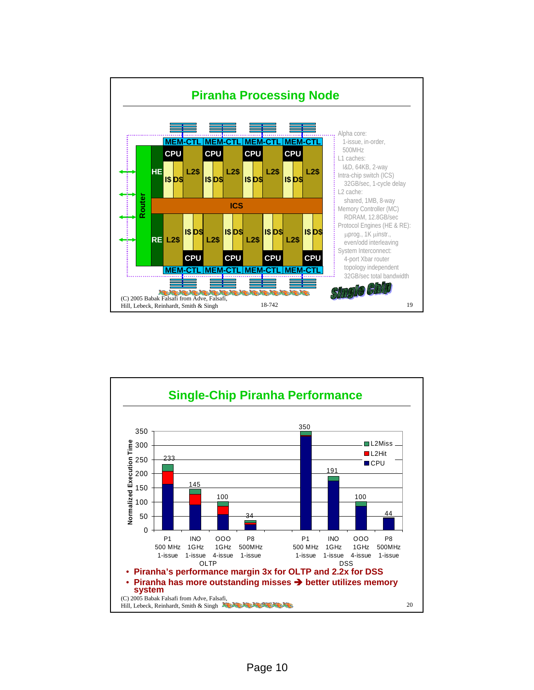

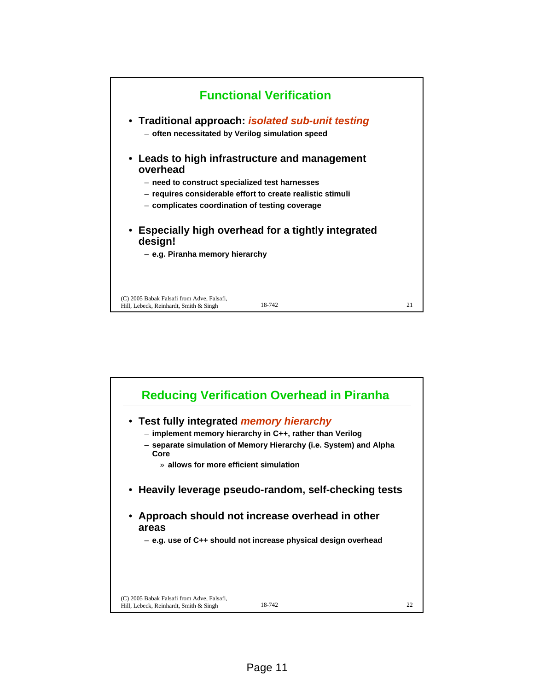

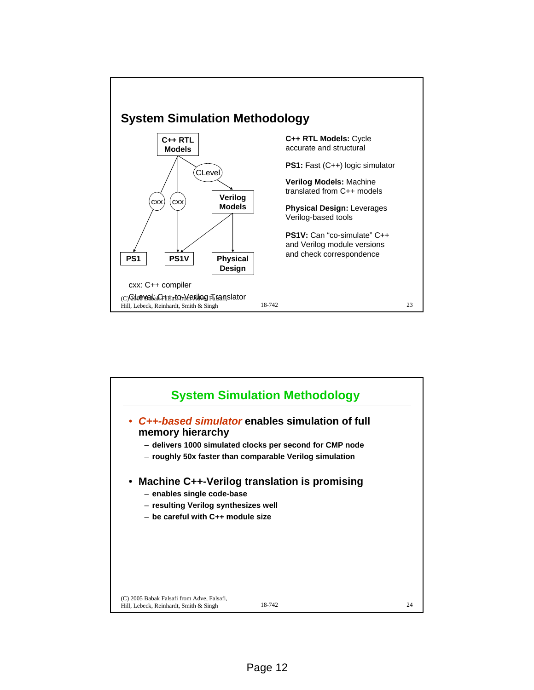

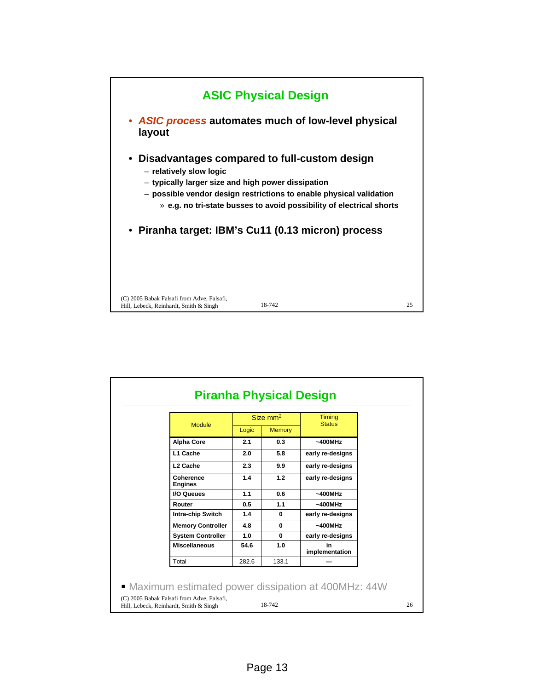

| <b>Module</b>               | Size mm <sup>2</sup> |               | Timing<br><b>Status</b> |
|-----------------------------|----------------------|---------------|-------------------------|
|                             | Logic                | <b>Memory</b> |                         |
| <b>Alpha Core</b>           | 2.1                  | 0.3           | $~1400$ MHz             |
| L1 Cache                    | 2.0                  | 5.8           | early re-designs        |
| L <sub>2</sub> Cache        | 2.3                  | 9.9           | early re-designs        |
| Coherence<br><b>Engines</b> | 1.4                  | 1.2           | early re-designs        |
| <b>I/O Queues</b>           | 1.1                  | 0.6           | $~1400$ MHz             |
| Router                      | 0.5                  | 1.1           | $~1400$ MHz             |
| <b>Intra-chip Switch</b>    | 1.4                  | $\mathbf{0}$  | early re-designs        |
| <b>Memory Controller</b>    | 4.8                  | $\mathbf{0}$  | $~1400$ MHz             |
| <b>System Controller</b>    | 1.0                  | $\mathbf{0}$  | early re-designs        |
| <b>Miscellaneous</b>        | 54.6                 | 1.0           | in<br>implementation    |
| Total                       | 282.6                | 133.1         |                         |